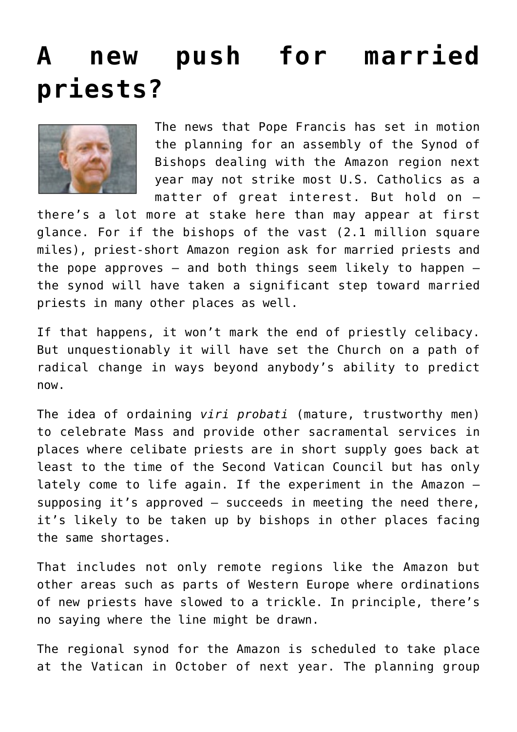## **[A new push for married](https://www.osvnews.com/2018/04/22/a-new-push-for-married-priests/) [priests?](https://www.osvnews.com/2018/04/22/a-new-push-for-married-priests/)**



The news that Pope Francis has set in motion the planning for an assembly of the Synod of Bishops dealing with the Amazon region next year may not strike most U.S. Catholics as a matter of great interest. But hold on —

there's a lot more at stake here than may appear at first glance. For if the bishops of the vast (2.1 million square miles), priest-short Amazon region ask for married priests and the pope approves  $-$  and both things seem likely to happen  $$ the synod will have taken a significant step toward married priests in many other places as well.

If that happens, it won't mark the end of priestly celibacy. But unquestionably it will have set the Church on a path of radical change in ways beyond anybody's ability to predict now.

The idea of ordaining *viri probati* (mature, trustworthy men) to celebrate Mass and provide other sacramental services in places where celibate priests are in short supply goes back at least to the time of the Second Vatican Council but has only lately come to life again. If the experiment in the Amazon supposing it's approved — succeeds in meeting the need there, it's likely to be taken up by bishops in other places facing the same shortages.

That includes not only remote regions like the Amazon but other areas such as parts of Western Europe where ordinations of new priests have slowed to a trickle. In principle, there's no saying where the line might be drawn.

The regional synod for the Amazon is scheduled to take place at the Vatican in October of next year. The planning group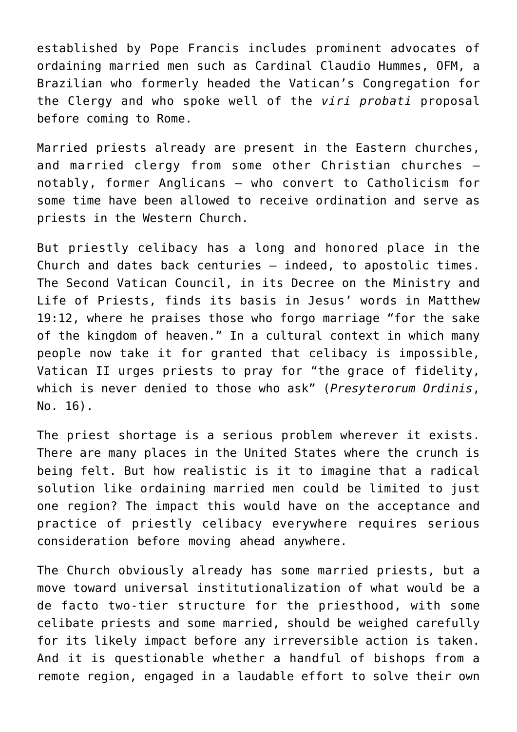established by Pope Francis includes prominent advocates of ordaining married men such as Cardinal Claudio Hummes, OFM, a Brazilian who formerly headed the Vatican's Congregation for the Clergy and who spoke well of the *viri probati* proposal before coming to Rome.

Married priests already are present in the Eastern churches, and married clergy from some other Christian churches notably, former Anglicans — who convert to Catholicism for some time have been allowed to receive ordination and serve as priests in the Western Church.

But priestly celibacy has a long and honored place in the Church and dates back centuries — indeed, to apostolic times. The Second Vatican Council, in its Decree on the Ministry and Life of Priests, finds its basis in Jesus' words in Matthew 19:12, where he praises those who forgo marriage "for the sake of the kingdom of heaven." In a cultural context in which many people now take it for granted that celibacy is impossible, Vatican II urges priests to pray for "the grace of fidelity, which is never denied to those who ask" (*Presyterorum Ordinis*, No. 16).

The priest shortage is a serious problem wherever it exists. There are many places in the United States where the crunch is being felt. But how realistic is it to imagine that a radical solution like ordaining married men could be limited to just one region? The impact this would have on the acceptance and practice of priestly celibacy everywhere requires serious consideration before moving ahead anywhere.

The Church obviously already has some married priests, but a move toward universal institutionalization of what would be a de facto two-tier structure for the priesthood, with some celibate priests and some married, should be weighed carefully for its likely impact before any irreversible action is taken. And it is questionable whether a handful of bishops from a remote region, engaged in a laudable effort to solve their own